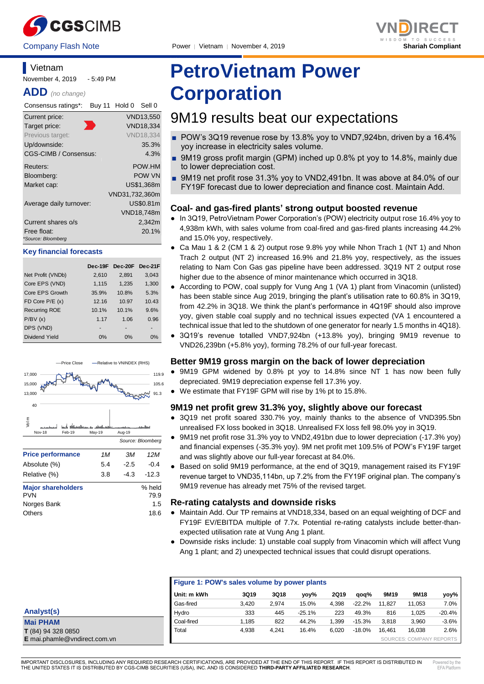

November 4, 2019 - 5:49 PM

Consensus ratings\*: Buy 11 Hold 0 Sell 0 Current price: VND13,550 Target price: VND18,334 Previous target: VND18,334 Up/downside: 35.3% CGS-CIMB / Consensus: 4.3% Reuters: POW.HM Bloomberg: POW VN Market cap: US\$1,368m

Average daily turnover: US\$0.81m

Current shares o/s 2,342m Free float: 20.1%

Net Profit (VNDb) 2,610 2,891 3,043 Core EPS (VND) 1.115 1.235 1.300 Core EPS Growth 35.9% 10.8% 5.3% FD Core P/E (x) 12.16 10.97 10.43 Recurring ROE 10.1% 10.1% 9.6% P/BV (x) 1.17 1.06 0.96

Dividend Yield 0% 0% 0%

Price Close - Relative to VNINDEX (RHS)

VND31,732,360m

**Dec-19F Dec-20F Dec-21F**

VND18,748m

*Source: Bloomberg*

**Angelin** 

91.3 105.6 119.9

**ADD** *(no change)*

**Vietnam** 

*\*Source: Bloomberg*

DPS (VND)

 $40$ <sup>-</sup> 13,000 15,000 17,000

**Key financial forecasts**



# **PetroVietnam Power Corporation**

## 9M19 results beat our expectations

- POW's 3Q19 revenue rose by 13.8% yoy to VND7,924bn, driven by a 16.4% yoy increase in electricity sales volume.
- 9M19 gross profit margin (GPM) inched up 0.8% pt yoy to 14.8%, mainly due to lower depreciation cost.
- 9M19 net profit rose 31.3% yoy to VND2,491bn. It was above at 84.0% of our FY19F forecast due to lower depreciation and finance cost. Maintain Add.

#### **Coal- and gas-fired plants' strong output boosted revenue**

- In 3Q19, PetroVietnam Power Corporation's (POW) electricity output rose 16.4% yoy to 4,938m kWh, with sales volume from coal-fired and gas-fired plants increasing 44.2% and 15.0% yoy, respectively.
- Ca Mau 1 & 2 (CM 1 & 2) output rose 9.8% yoy while Nhon Trach 1 (NT 1) and Nhon Trach 2 output (NT 2) increased 16.9% and 21.8% yoy, respectively, as the issues relating to Nam Con Gas gas pipeline have been addressed. 3Q19 NT 2 output rose higher due to the absence of minor maintenance which occurred in 3Q18.
- According to POW, coal supply for Vung Ang 1 (VA 1) plant from Vinacomin (unlisted) has been stable since Aug 2019, bringing the plant's utilisation rate to 60.8% in 3Q19, from 42.2% in 3Q18. We think the plant's performance in 4Q19F should also improve yoy, given stable coal supply and no technical issues expected (VA 1 encountered a technical issue that led to the shutdown of one generator for nearly 1.5 months in 4Q18).
- 3Q19's revenue totalled VND7,924bn (+13.8% yoy), bringing 9M19 revenue to VND26,239bn (+5.8% yoy), forming 78.2% of our full-year forecast.

#### **Better 9M19 gross margin on the back of lower depreciation**

- 9M19 GPM widened by 0.8% pt yoy to 14.8% since NT 1 has now been fully depreciated. 9M19 depreciation expense fell 17.3% yoy.
- We estimate that FY19F GPM will rise by 1% pt to 15.8%.

#### **9M19 net profit grew 31.3% yoy, slightly above our forecast**

- 3Q19 net profit soared 330.7% yoy, mainly thanks to the absence of VND395.5bn unrealised FX loss booked in 3Q18. Unrealised FX loss fell 98.0% yoy in 3Q19.
- 9M19 net profit rose 31.3% yoy to VND2,491bn due to lower depreciation (-17.3% yoy) and financial expenses (-35.3% yoy). 9M net profit met 109.5% of POW's FY19F target and was slightly above our full-year forecast at 84.0%.
- Based on solid 9M19 performance, at the end of 3Q19, management raised its FY19F revenue target to VND35,114bn, up 7.2% from the FY19F original plan. The company's 9M19 revenue has already met 75% of the revised target.

#### **Re-rating catalysts and downside risks**

- Maintain Add. Our TP remains at VND18,334, based on an equal weighting of DCF and FY19F EV/EBITDA multiple of 7.7x. Potential re-rating catalysts include better-thanexpected utilisation rate at Vung Ang 1 plant.
	- Downside risks include: 1) unstable coal supply from Vinacomin which will affect Vung Ang 1 plant; and 2) unexpected technical issues that could disrupt operations.

| Figure 1: POW's sales volume by power plants |       |       |          |             |          |        |                          |          |
|----------------------------------------------|-------|-------|----------|-------------|----------|--------|--------------------------|----------|
| Unit: m kWh                                  | 3Q19  | 3Q18  | yoy%     | <b>2Q19</b> | aoa%     | 9M19   | 9M18                     | yoy%     |
| Gas-fired                                    | 3,420 | 2.974 | 15.0%    | 4.398       | $-22.2%$ | 11.827 | 11,053                   | 7.0%     |
| Hydro                                        | 333   | 445   | $-25.1%$ | 223         | 49.3%    | 816    | 1,025                    | $-20.4%$ |
| Coal-fired                                   | 1.185 | 822   | 44.2%    | 1.399       | $-15.3%$ | 3.818  | 3,960                    | $-3.6%$  |
| Total                                        | 4,938 | 4,241 | 16.4%    | 6.020       | $-18.0%$ | 16.461 | 16.038                   | 2.6%     |
|                                              |       |       |          |             |          |        | SOURCES: COMPANY REPORTS |          |

| Analyst(s)          |  |
|---------------------|--|
| <b>Mai PHAM</b>     |  |
| $T(84)$ 94 328 0850 |  |

**Price performance** *1M 3M 12M* Absolute (%) 5.4 -2.5 -0.4 Relative (%) 3.8 -4.3 -12.3

Nov-18 Feb-19 May-19 Aug-19 Vol m

**Major shareholders** % held<br>PVN 79.9 PVN 79.9 Norges Bank 1.5 Others 18.6

**E** mai.phamle@vndirect.com.vn

IMPORTANT DISCLOSURES, INCLUDING ANY REQUIRED RESEARCH CERTIFICATIONS, ARE PROVIDED AT THE END OF THIS REPORT. IF THIS REPORT IS DISTRIBUTED IN THE UNITED STATES IT IS DISTRIBUTED BY CGS-CIMB SECURITIES (USA), INC. AND IS CONSIDERED **THIRD-PARTY AFFILIATED RESEARCH**.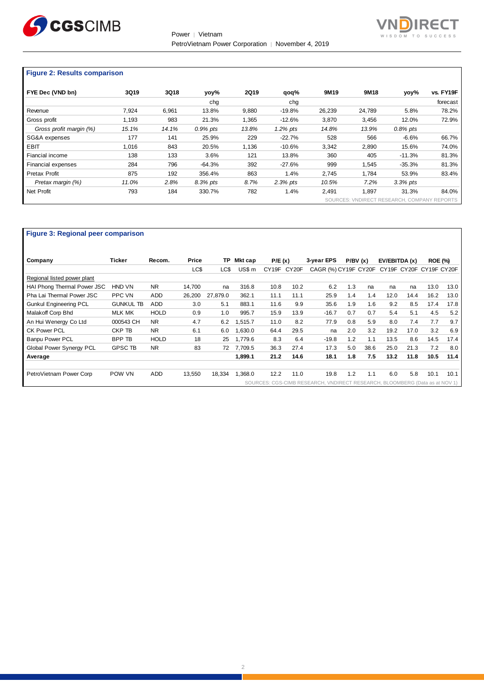



#### **Figure 2: Results comparison**

| FYE Dec (VND bn)        | 3Q19  | 3Q18  | yoy%        | <b>2Q19</b> | qoq%        | 9M19   | 9M18   | yoy%                                        | vs. FY19F |
|-------------------------|-------|-------|-------------|-------------|-------------|--------|--------|---------------------------------------------|-----------|
|                         |       |       | cha         |             | cha         |        |        |                                             | forecast  |
| Revenue                 | 7.924 | 6,961 | 13.8%       | 9,880       | $-19.8%$    | 26,239 | 24.789 | 5.8%                                        | 78.2%     |
| Gross profit            | 1,193 | 983   | 21.3%       | 1,365       | $-12.6%$    | 3,870  | 3,456  | 12.0%                                       | 72.9%     |
| Gross profit margin (%) | 15.1% | 14.1% | $0.9\%$ pts | 13.8%       | $1.2\%$ pts | 14.8%  | 13.9%  | $0.8\%$ pts                                 |           |
| SG&A expenses           | 177   | 141   | 25.9%       | 229         | $-22.7%$    | 528    | 566    | $-6.6%$                                     | 66.7%     |
| <b>EBIT</b>             | 1.016 | 843   | 20.5%       | 1.136       | $-10.6%$    | 3.342  | 2.890  | 15.6%                                       | 74.0%     |
| Fiancial income         | 138   | 133   | 3.6%        | 121         | 13.8%       | 360    | 405    | $-11.3%$                                    | 81.3%     |
| Financial expenses      | 284   | 796   | $-64.3%$    | 392         | $-27.6%$    | 999    | 1,545  | $-35.3%$                                    | 81.3%     |
| Pretax Profit           | 875   | 192   | 356.4%      | 863         | 1.4%        | 2.745  | 1.784  | 53.9%                                       | 83.4%     |
| Pretax margin (%)       | 11.0% | 2.8%  | 8.3% pts    | 8.7%        | $2.3%$ pts  | 10.5%  | 7.2%   | $3.3\%$ pts                                 |           |
| Net Profit              | 793   | 184   | 330.7%      | 782         | 1.4%        | 2,491  | 1,897  | 31.3%                                       | 84.0%     |
|                         |       |       |             |             |             |        |        | SOURCES: VNDIRECT RESEARCH, COMPANY REPORTS |           |

#### **Figure 3: Regional peer comparison**

| Company                       | Ticker           | Recom.      | Price  | TP       | Mkt cap | P/E(x) |       | 3-year EPS                                                                  | P/BV(x) |      | EV/EBITDA (x)           |      | <b>ROE (%)</b> |      |
|-------------------------------|------------------|-------------|--------|----------|---------|--------|-------|-----------------------------------------------------------------------------|---------|------|-------------------------|------|----------------|------|
|                               |                  |             | LC\$   | LC\$     | US\$ m  | CY19F  | CY20F | CAGR (%) CY19F CY20F                                                        |         |      | CY19F CY20F CY19F CY20F |      |                |      |
| Regional listed power plant   |                  |             |        |          |         |        |       |                                                                             |         |      |                         |      |                |      |
| HAI Phong Thermal Power JSC   | HND VN           | <b>NR</b>   | 14,700 | na       | 316.8   | 10.8   | 10.2  | 6.2                                                                         | 1.3     | na   | na                      | na   | 13.0           | 13.0 |
| Pha Lai Thermal Power JSC     | PPC VN           | <b>ADD</b>  | 26,200 | 27.879.0 | 362.1   | 11.1   | 11.1  | 25.9                                                                        | 1.4     | 1.4  | 12.0                    | 14.4 | 16.2           | 13.0 |
| <b>Gunkul Engineering PCL</b> | <b>GUNKUL TB</b> | <b>ADD</b>  | 3.0    | 5.1      | 883.1   | 11.6   | 9.9   | 35.6                                                                        | 1.9     | 1.6  | 9.2                     | 8.5  | 17.4           | 17.8 |
| Malakoff Corp Bhd             | <b>MLK MK</b>    | <b>HOLD</b> | 0.9    | 1.0      | 995.7   | 15.9   | 13.9  | $-16.7$                                                                     | 0.7     | 0.7  | 5.4                     | 5.1  | 4.5            | 5.2  |
| An Hui Wenergy Co Ltd         | 000543 CH        | <b>NR</b>   | 4.7    | 6.2      | 1,515.7 | 11.0   | 8.2   | 77.9                                                                        | 0.8     | 5.9  | 8.0                     | 7.4  | 7.7            | 9.7  |
| CK Power PCL                  | CKP TB           | <b>NR</b>   | 6.1    | 6.0      | .630.0  | 64.4   | 29.5  | na                                                                          | 2.0     | 3.2  | 19.2                    | 17.0 | 3.2            | 6.9  |
| <b>Banpu Power PCL</b>        | BPP TB           | <b>HOLD</b> | 18     | 25       | 1.779.6 | 8.3    | 6.4   | $-19.8$                                                                     | 1.2     | 1.1  | 13.5                    | 8.6  | 14.5           | 17.4 |
| Global Power Synergy PCL      | <b>GPSC TB</b>   | <b>NR</b>   | 83     | 72       | 7.709.5 | 36.3   | 27.4  | 17.3                                                                        | 5.0     | 38.6 | 25.0                    | 21.3 | 7.2            | 8.0  |
| Average                       |                  |             |        |          | 1.899.1 | 21.2   | 14.6  | 18.1                                                                        | 1.8     | 7.5  | 13.2                    | 11.8 | 10.5           | 11.4 |
| PetroVietnam Power Corp       | POW VN           | <b>ADD</b>  | 13,550 | 18,334   | 1.368.0 | 12.2   | 11.0  | 19.8                                                                        | 1.2     | 1.1  | 6.0                     | 5.8  | 10.1           | 10.1 |
|                               |                  |             |        |          |         |        |       | SOURCES: CGS-CIMB RESEARCH, VNDIRECT RESEARCH, BLOOMBERG (Data as at NOV 1) |         |      |                         |      |                |      |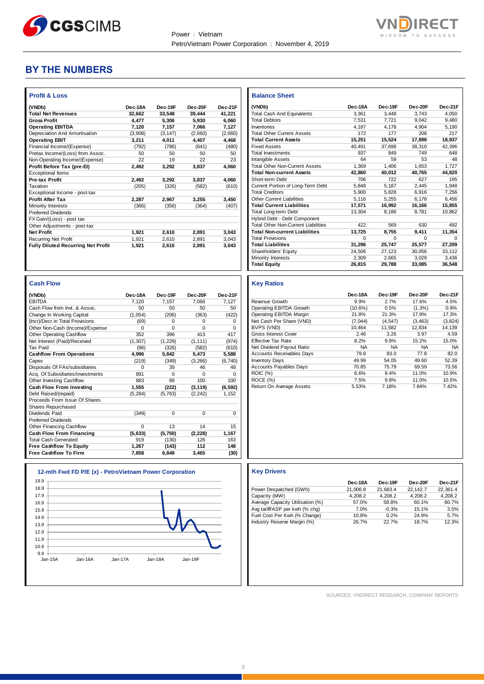



### **BY THE NUMBERS**

| (VNDb)                                                        | Dec-18A        | Dec-19F        | Dec-20F         | Dec-21F      |
|---------------------------------------------------------------|----------------|----------------|-----------------|--------------|
| <b>Total Net Revenues</b>                                     | 32,662         | 33,548         | 39,444          | 41,221       |
| <b>Gross Profit</b>                                           | 4,477          | 5,306          | 5,930           | 6,060        |
| <b>Operating EBITDA</b>                                       | 7,120          | 7,157          | 7,066           | 7,127        |
| Depreciation And Amortisation                                 | (3,908)        | (3, 147)       | (2,660)         | (2,660)      |
| <b>Operating EBIT</b>                                         | 3,211          | 4,011          | 4,407           | 4,468        |
| Financial Income/(Expense)                                    | (792)          | (786)          | (641)           | (480)        |
| Pretax Income/(Loss) from Assoc.                              | 50             | 50             | 50              | 50           |
| Non-Operating Income/(Expense)                                | 22             | 19             | 22              | 23           |
| Profit Before Tax (pre-El)                                    | 2,492          | 3,292          | 3,837           | 4,060        |
| <b>Exceptional Items</b>                                      |                |                |                 |              |
| <b>Pre-tax Profit</b>                                         | 2,492          | 3,292          | 3,837           | 4,060        |
| Taxation                                                      | (205)          | (326)          | (582)           | (610)        |
| Exceptional Income - post-tax                                 |                |                |                 |              |
| <b>Profit After Tax</b>                                       | 2.287          | 2,967          | 3.255           | 3,450        |
| Minority Interests                                            | (366)          | (356)          | (364)           | (407)        |
| <b>Preferred Dividends</b>                                    |                |                |                 |              |
| FX Gain/(Loss) - post tax                                     |                |                |                 |              |
| Other Adjustments - post-tax                                  |                |                |                 |              |
| <b>Net Profit</b>                                             | 1,921          | 2,610          | 2,891           | 3,043        |
| <b>Recurring Net Profit</b>                                   | 1,921          | 2.610          | 2.891           | 3.043        |
| <b>Fully Diluted Recurring Net Profit</b>                     | 1,921          | 2,610          | 2,891           | 3,043        |
|                                                               |                |                |                 |              |
|                                                               |                |                |                 |              |
| <b>Cash Flow</b>                                              |                |                |                 |              |
| (VNDb)                                                        | Dec-18A        | Dec-19F        | Dec-20F         | Dec-21F      |
| <b>EBITDA</b>                                                 | 7,120          | 7,157          | 7,066           | 7,127        |
| Cash Flow from Invt. & Assoc.                                 | 50             | 50             | 50              | 50           |
| Change In Working Capital                                     | (1,054)        | (206)          | (363)           | (422)        |
| (Incr)/Decr in Total Provisions                               | (69)           | $\Omega$       | 0               | 0            |
| Other Non-Cash (Income)/Expense                               | $\mathbf 0$    | $\mathbf 0$    | 0               | 0            |
| <b>Other Operating Cashflow</b>                               | 352            | 396            | 413             | 417          |
| Net Interest (Paid)/Received                                  | (1, 307)       | (1, 229)       | (1, 111)        | (974)        |
| <b>Tax Paid</b>                                               | (96)           | (326)          | (582)           | (610)        |
| <b>Cashflow From Operations</b>                               | 4,996          | 5,842          | 5,473           | 5,588        |
| Capex                                                         | (219)          | (349)          | (3, 266)        | (6,740)      |
| Disposals Of FAs/subsidiaries                                 | 0              | 39             | 46              | 48           |
| Acq. Of Subsidiaries/investments                              | 891            | $\Omega$       | $\Omega$        | 0            |
| Other Investing Cashflow                                      | 883            | 88             | 100             | 100          |
| Cash Flow From Investing                                      | 1.555          | (222)          | (3, 119)        | (6, 592)     |
| Debt Raised/(repaid)                                          | (5, 284)       | (5,763)        | (2, 242)        | 1,152        |
| Proceeds From Issue Of Shares                                 |                |                |                 |              |
| Shares Repurchased                                            |                |                |                 |              |
| Dividends Paid                                                | (349)          | $\Omega$       | $\Omega$        | 0            |
| <b>Preferred Dividends</b>                                    |                |                | 14              |              |
| Other Financing Cashflow                                      | 0              | 13             |                 | 15           |
| <b>Cash Flow From Financing</b>                               | (5,633)<br>919 | (5,750)        | (2, 228)<br>126 | 1,167<br>163 |
| <b>Total Cash Generated</b><br><b>Free Cashflow To Equity</b> | 1,267          | (130)<br>(143) | 112             | 148          |

| 19.9    |         |         |         |         |
|---------|---------|---------|---------|---------|
| 18.9    |         |         |         |         |
| 17.9    |         |         |         |         |
| 16.9    |         |         |         |         |
| 15.9    |         |         |         |         |
| 14.9    |         |         |         |         |
| 13.9    |         |         |         |         |
| 12.9    |         |         |         |         |
| 11.9    |         |         |         |         |
| 10.9    |         |         |         |         |
| 9.9     |         |         |         |         |
| Jan-15A | Jan-16A | Jan-17A | Jan-18A | Jan-19F |

| <b>Balance Sheet</b>                       |          |          |          |         |
|--------------------------------------------|----------|----------|----------|---------|
| (VNDb)                                     | Dec-18A  | Dec-19F  | Dec-20F  | Dec-21F |
| <b>Total Cash And Equivalents</b>          | 3.361    | 3.448    | 3.743    | 4.050   |
| <b>Total Debtors</b>                       | 7.531    | 7.721    | 9.042    | 9.480   |
| Inventories                                | 4.187    | 4.178    | 4.904    | 5.190   |
| <b>Total Other Current Assets</b>          | 172      | 177      | 208      | 217     |
| <b>Total Current Assets</b>                | 15.251   | 15.524   | 17.898   | 18.937  |
| <b>Fixed Assets</b>                        | 40.491   | 37.698   | 38.310   | 42.396  |
| <b>Total Investments</b>                   | 937      | 849      | 749      | 648     |
| Intangible Assets                          | 64       | 59       | 53       | 48      |
| <b>Total Other Non-Current Assets</b>      | 1.369    | 1.406    | 1.653    | 1.727   |
| <b>Total Non-current Assets</b>            | 42,860   | 40,012   | 40,765   | 44,820  |
| Short-term Debt                            | 706      | 722      | 627      | 195     |
| Current Portion of Long-Term Debt          | 5,848    | 5,187    | 2.445    | 1,948   |
| <b>Total Creditors</b>                     | 5.900    | 5.828    | 6.916    | 7.256   |
| Other Current Liabilities                  | 5.116    | 5.255    | 6.178    | 6.456   |
| <b>Total Current Liabilities</b>           | 17.571   | 16.992   | 16.166   | 15.855  |
| Total Long-term Debt                       | 13.304   | 8,186    | 8.781    | 10.862  |
| Hybrid Debt - Debt Component               |          |          |          |         |
| <b>Total Other Non-Current Liabilities</b> | 422      | 569      | 630      | 492     |
| <b>Total Non-current Liabilities</b>       | 13.725   | 8,755    | 9.411    | 11.354  |
| <b>Total Provisions</b>                    | $\Omega$ | $\Omega$ | $\Omega$ | O       |
| <b>Total Liabilities</b>                   | 31.296   | 25.747   | 25.577   | 27,209  |
| Shareholders' Equity                       | 24.506   | 27,123   | 30.056   | 33,112  |
| <b>Minority Interests</b>                  | 2.309    | 2.665    | 3.029    | 3.436   |
| <b>Total Equity</b>                        | 26,815   | 29,788   | 33,085   | 36,548  |

#### **Key Ratios**

|                                  | Dec-18A    | Dec-19F   | Dec-20F   | Dec-21F   |
|----------------------------------|------------|-----------|-----------|-----------|
| Revenue Growth                   | 9.9%       | 2.7%      | 17.6%     | 4.5%      |
| Operating EBITDA Growth          | $(10.6\%)$ | 0.5%      | $(1.3\%)$ | 0.9%      |
| Operating EBITDA Margin          | 21.8%      | 21.3%     | 17.9%     | 17.3%     |
| Net Cash Per Share (VND)         | (7.044)    | (4, 547)  | (3, 463)  | (3,824)   |
| BVPS (VND)                       | 10.464     | 11.582    | 12.834    | 14,139    |
| Gross Interest Cover             | 2.46       | 3.26      | 3.97      | 4.59      |
| <b>Effective Tax Rate</b>        | 8.2%       | 9.9%      | 15.2%     | 15.0%     |
| Net Dividend Payout Ratio        | <b>NA</b>  | <b>NA</b> | <b>NA</b> | <b>NA</b> |
| <b>Accounts Receivables Days</b> | 79.8       | 83.0      | 77.8      | 82.0      |
| <b>Inventory Days</b>            | 49.99      | 54.05     | 49.60     | 52.39     |
| <b>Accounts Payables Days</b>    | 70.85      | 75.79     | 69.59     | 73.56     |
| <b>ROIC</b> (%)                  | 6.6%       | 9.4%      | 11.0%     | 10.9%     |
| ROCE (%)                         | 7.5%       | 9.8%      | 11.0%     | 10.5%     |
| Return On Average Assets         | 5.53%      | 7.18%     | 7.84%     | 7.42%     |

#### **12-mth Fwd FD P/E (x) - PetroVietnam Power Corporation Key Drivers**

|                                  | Dec-18A  | Dec-19F  | Dec-20F  | Dec-21F  |
|----------------------------------|----------|----------|----------|----------|
| Power Despatched (GWh)           | 21.006.8 | 21.683.4 | 22.142.7 | 22.361.4 |
| Capacity (MW)                    | 4.208.2  | 4.208.2  | 4.208.2  | 4.208.2  |
| Average Capacity Utilisation (%) | 57.0%    | 58.8%    | 60.1%    | 60.7%    |
| Avg tariff/ASP per kwh (% chq)   | 7.0%     | $-0.3%$  | 15.1%    | 3.5%     |
| Fuel Cost Per Kwh (% Change)     | 10.8%    | 0.2%     | 24.9%    | 5.7%     |
| Industry Reserve Margin (%)      | 26.7%    | 22.7%    | 18.7%    | 12.3%    |

SOURCES: VNDIRECT RESEARCH, COMPANY REPORTS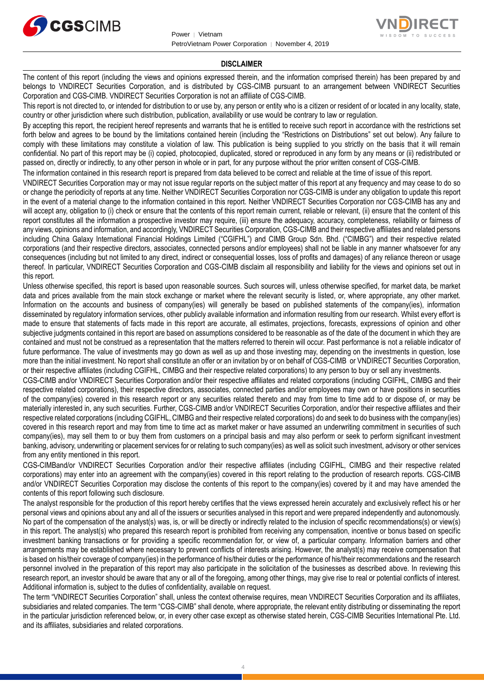



#### **DISCLAIMER**

The content of this report (including the views and opinions expressed therein, and the information comprised therein) has been prepared by and belongs to VNDIRECT Securities Corporation, and is distributed by CGS-CIMB pursuant to an arrangement between VNDIRECT Securities Corporation and CGS-CIMB. VNDIRECT Securities Corporation is not an affiliate of CGS-CIMB.

This report is not directed to, or intended for distribution to or use by, any person or entity who is a citizen or resident of or located in any locality, state, country or other jurisdiction where such distribution, publication, availability or use would be contrary to law or regulation.

By accepting this report, the recipient hereof represents and warrants that he is entitled to receive such report in accordance with the restrictions set forth below and agrees to be bound by the limitations contained herein (including the "Restrictions on Distributions" set out below). Any failure to comply with these limitations may constitute a violation of law. This publication is being supplied to you strictly on the basis that it will remain confidential. No part of this report may be (i) copied, photocopied, duplicated, stored or reproduced in any form by any means or (ii) redistributed or passed on, directly or indirectly, to any other person in whole or in part, for any purpose without the prior written consent of CGS-CIMB.

The information contained in this research report is prepared from data believed to be correct and reliable at the time of issue of this report.

VNDIRECT Securities Corporation may or may not issue regular reports on the subject matter of this report at any frequency and may cease to do so or change the periodicity of reports at any time. Neither VNDIRECT Securities Corporation nor CGS-CIMB is under any obligation to update this report in the event of a material change to the information contained in this report. Neither VNDIRECT Securities Corporation nor CGS-CIMB has any and will accept any, obligation to (i) check or ensure that the contents of this report remain current, reliable or relevant, (ii) ensure that the content of this report constitutes all the information a prospective investor may require, (iii) ensure the adequacy, accuracy, completeness, reliability or fairness of any views, opinions and information, and accordingly, VNDIRECT Securities Corporation, CGS-CIMB and their respective affiliates and related persons including China Galaxy International Financial Holdings Limited ("CGIFHL") and CIMB Group Sdn. Bhd. ("CIMBG") and their respective related corporations (and their respective directors, associates, connected persons and/or employees) shall not be liable in any manner whatsoever for any consequences (including but not limited to any direct, indirect or consequential losses, loss of profits and damages) of any reliance thereon or usage thereof. In particular, VNDIRECT Securities Corporation and CGS-CIMB disclaim all responsibility and liability for the views and opinions set out in this report.

Unless otherwise specified, this report is based upon reasonable sources. Such sources will, unless otherwise specified, for market data, be market data and prices available from the main stock exchange or market where the relevant security is listed, or, where appropriate, any other market. Information on the accounts and business of company(ies) will generally be based on published statements of the company(ies), information disseminated by regulatory information services, other publicly available information and information resulting from our research. Whilst every effort is made to ensure that statements of facts made in this report are accurate, all estimates, projections, forecasts, expressions of opinion and other subjective judgments contained in this report are based on assumptions considered to be reasonable as of the date of the document in which they are contained and must not be construed as a representation that the matters referred to therein will occur. Past performance is not a reliable indicator of future performance. The value of investments may go down as well as up and those investing may, depending on the investments in question, lose more than the initial investment. No report shall constitute an offer or an invitation by or on behalf of CGS-CIMB or VNDIRECT Securities Corporation, or their respective affiliates (including CGIFHL, CIMBG and their respective related corporations) to any person to buy or sell any investments.

CGS-CIMB and/or VNDIRECT Securities Corporation and/or their respective affiliates and related corporations (including CGIFHL, CIMBG and their respective related corporations), their respective directors, associates, connected parties and/or employees may own or have positions in securities of the company(ies) covered in this research report or any securities related thereto and may from time to time add to or dispose of, or may be materially interested in, any such securities. Further, CGS-CIMB and/or VNDIRECT Securities Corporation, and/or their respective affiliates and their respective related corporations (including CGIFHL, CIMBG and their respective related corporations) do and seek to do business with the company(ies) covered in this research report and may from time to time act as market maker or have assumed an underwriting commitment in securities of such company(ies), may sell them to or buy them from customers on a principal basis and may also perform or seek to perform significant investment banking, advisory, underwriting or placement services for or relating to such company(ies) as well as solicit such investment, advisory or other services from any entity mentioned in this report.

CGS-CIMBand/or VNDIRECT Securities Corporation and/or their respective affiliates (including CGIFHL, CIMBG and their respective related corporations) may enter into an agreement with the company(ies) covered in this report relating to the production of research reports. CGS-CIMB and/or VNDIRECT Securities Corporation may disclose the contents of this report to the company(ies) covered by it and may have amended the contents of this report following such disclosure.

The analyst responsible for the production of this report hereby certifies that the views expressed herein accurately and exclusively reflect his or her personal views and opinions about any and all of the issuers or securities analysed in this report and were prepared independently and autonomously. No part of the compensation of the analyst(s) was, is, or will be directly or indirectly related to the inclusion of specific recommendations(s) or view(s) in this report. The analyst(s) who prepared this research report is prohibited from receiving any compensation, incentive or bonus based on specific investment banking transactions or for providing a specific recommendation for, or view of, a particular company. Information barriers and other arrangements may be established where necessary to prevent conflicts of interests arising. However, the analyst(s) may receive compensation that is based on his/their coverage of company(ies) in the performance of his/their duties or the performance of his/their recommendations and the research personnel involved in the preparation of this report may also participate in the solicitation of the businesses as described above. In reviewing this research report, an investor should be aware that any or all of the foregoing, among other things, may give rise to real or potential conflicts of interest. Additional information is, subject to the duties of confidentiality, available on request.

The term "VNDIRECT Securities Corporation" shall, unless the context otherwise requires, mean VNDIRECT Securities Corporation and its affiliates, subsidiaries and related companies. The term "CGS-CIMB" shall denote, where appropriate, the relevant entity distributing or disseminating the report in the particular jurisdiction referenced below, or, in every other case except as otherwise stated herein, CGS-CIMB Securities International Pte. Ltd. and its affiliates, subsidiaries and related corporations.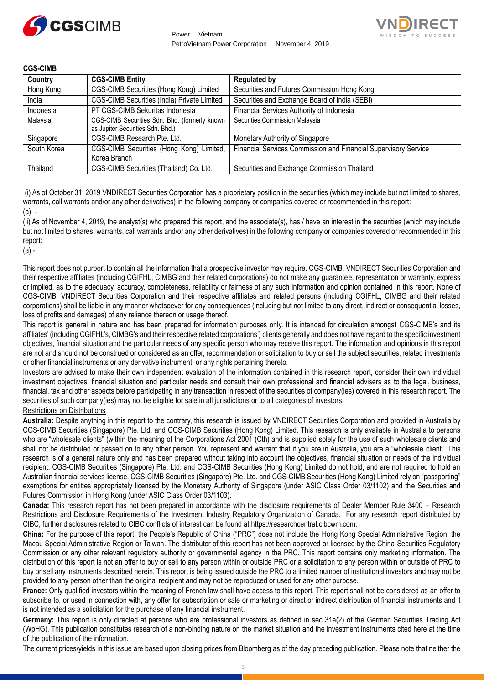



| <b>CGS-CIMB</b> |                                                                                   |                                                                 |
|-----------------|-----------------------------------------------------------------------------------|-----------------------------------------------------------------|
| Country         | <b>CGS-CIMB Entity</b>                                                            | <b>Regulated by</b>                                             |
| Hong Kong       | CGS-CIMB Securities (Hong Kong) Limited                                           | Securities and Futures Commission Hong Kong                     |
| India           | CGS-CIMB Securities (India) Private Limited                                       | Securities and Exchange Board of India (SEBI)                   |
| Indonesia       | PT CGS-CIMB Sekuritas Indonesia                                                   | Financial Services Authority of Indonesia                       |
| Malaysia        | CGS-CIMB Securities Sdn. Bhd. (formerly known<br>as Jupiter Securities Sdn. Bhd.) | Securities Commission Malaysia                                  |
| Singapore       | CGS-CIMB Research Pte. Ltd.                                                       | Monetary Authority of Singapore                                 |
| South Korea     | CGS-CIMB Securities (Hong Kong) Limited,<br>Korea Branch                          | Financial Services Commission and Financial Supervisory Service |
| Thailand        | CGS-CIMB Securities (Thailand) Co. Ltd.                                           | Securities and Exchange Commission Thailand                     |

(i) As of October 31, 2019 VNDIRECT Securities Corporation has a proprietary position in the securities (which may include but not limited to shares, warrants, call warrants and/or any other derivatives) in the following company or companies covered or recommended in this report:  $(a)$  -

(ii) As of November 4, 2019, the analyst(s) who prepared this report, and the associate(s), has / have an interest in the securities (which may include but not limited to shares, warrants, call warrants and/or any other derivatives) in the following company or companies covered or recommended in this report:

(a) -

This report does not purport to contain all the information that a prospective investor may require. CGS-CIMB, VNDIRECT Securities Corporation and their respective affiliates (including CGIFHL, CIMBG and their related corporations) do not make any guarantee, representation or warranty, express or implied, as to the adequacy, accuracy, completeness, reliability or fairness of any such information and opinion contained in this report. None of CGS-CIMB, VNDIRECT Securities Corporation and their respective affiliates and related persons (including CGIFHL, CIMBG and their related corporations) shall be liable in any manner whatsoever for any consequences (including but not limited to any direct, indirect or consequential losses, loss of profits and damages) of any reliance thereon or usage thereof.

This report is general in nature and has been prepared for information purposes only. It is intended for circulation amongst CGS-CIMB's and its affiliates' (including CGIFHL's, CIMBG's and their respective related corporations') clients generally and does not have regard to the specific investment objectives, financial situation and the particular needs of any specific person who may receive this report. The information and opinions in this report are not and should not be construed or considered as an offer, recommendation or solicitation to buy or sell the subject securities, related investments or other financial instruments or any derivative instrument, or any rights pertaining thereto.

Investors are advised to make their own independent evaluation of the information contained in this research report, consider their own individual investment objectives, financial situation and particular needs and consult their own professional and financial advisers as to the legal, business, financial, tax and other aspects before participating in any transaction in respect of the securities of company(ies) covered in this research report. The securities of such company(ies) may not be eligible for sale in all jurisdictions or to all categories of investors.

#### Restrictions on Distributions

**Australia:** Despite anything in this report to the contrary, this research is issued by VNDIRECT Securities Corporation and provided in Australia by CGS-CIMB Securities (Singapore) Pte. Ltd. and CGS-CIMB Securities (Hong Kong) Limited. This research is only available in Australia to persons who are "wholesale clients" (within the meaning of the Corporations Act 2001 (Cth) and is supplied solely for the use of such wholesale clients and shall not be distributed or passed on to any other person. You represent and warrant that if you are in Australia, you are a "wholesale client". This research is of a general nature only and has been prepared without taking into account the objectives, financial situation or needs of the individual recipient. CGS-CIMB Securities (Singapore) Pte. Ltd. and CGS-CIMB Securities (Hong Kong) Limited do not hold, and are not required to hold an Australian financial services license. CGS-CIMB Securities (Singapore) Pte. Ltd. and CGS-CIMB Securities (Hong Kong) Limited rely on "passporting" exemptions for entities appropriately licensed by the Monetary Authority of Singapore (under ASIC Class Order 03/1102) and the Securities and Futures Commission in Hong Kong (under ASIC Class Order 03/1103).

**Canada:** This research report has not been prepared in accordance with the disclosure requirements of Dealer Member Rule 3400 – Research Restrictions and Disclosure Requirements of the Investment Industry Regulatory Organization of Canada. For any research report distributed by CIBC, further disclosures related to CIBC conflicts of interest can be found at https://researchcentral.cibcwm.com.

**China:** For the purpose of this report, the People's Republic of China ("PRC") does not include the Hong Kong Special Administrative Region, the Macau Special Administrative Region or Taiwan. The distributor of this report has not been approved or licensed by the China Securities Regulatory Commission or any other relevant regulatory authority or governmental agency in the PRC. This report contains only marketing information. The distribution of this report is not an offer to buy or sell to any person within or outside PRC or a solicitation to any person within or outside of PRC to buy or sell any instruments described herein. This report is being issued outside the PRC to a limited number of institutional investors and may not be provided to any person other than the original recipient and may not be reproduced or used for any other purpose.

**France:** Only qualified investors within the meaning of French law shall have access to this report. This report shall not be considered as an offer to subscribe to, or used in connection with, any offer for subscription or sale or marketing or direct or indirect distribution of financial instruments and it is not intended as a solicitation for the purchase of any financial instrument.

**Germany:** This report is only directed at persons who are professional investors as defined in sec 31a(2) of the German Securities Trading Act (WpHG). This publication constitutes research of a non-binding nature on the market situation and the investment instruments cited here at the time of the publication of the information.

The current prices/yields in this issue are based upon closing prices from Bloomberg as of the day preceding publication. Please note that neither the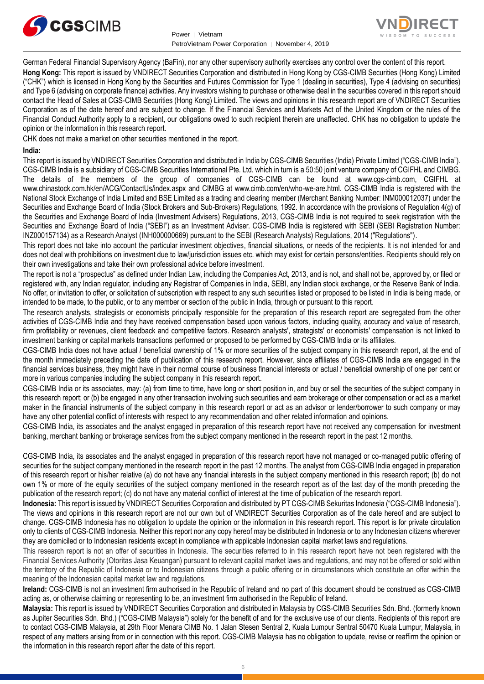



German Federal Financial Supervisory Agency (BaFin), nor any other supervisory authority exercises any control over the content of this report. **Hong Kong:** This report is issued by VNDIRECT Securities Corporation and distributed in Hong Kong by CGS-CIMB Securities (Hong Kong) Limited ("CHK") which is licensed in Hong Kong by the Securities and Futures Commission for Type 1 (dealing in securities), Type 4 (advising on securities) and Type 6 (advising on corporate finance) activities. Any investors wishing to purchase or otherwise deal in the securities covered in this report should contact the Head of Sales at CGS-CIMB Securities (Hong Kong) Limited. The views and opinions in this research report are of VNDIRECT Securities Corporation as of the date hereof and are subject to change. If the Financial Services and Markets Act of the United Kingdom or the rules of the Financial Conduct Authority apply to a recipient, our obligations owed to such recipient therein are unaffected. CHK has no obligation to update the opinion or the information in this research report.

CHK does not make a market on other securities mentioned in the report.

#### **India:**

This report is issued by VNDIRECT Securities Corporation and distributed in India by CGS-CIMB Securities (India) Private Limited ("CGS-CIMB India"). CGS-CIMB India is a subsidiary of CGS-CIMB Securities International Pte. Ltd. which in turn is a 50:50 joint venture company of CGIFHL and CIMBG. The details of the members of the group of companies of CGS-CIMB can be found at www.cgs-cimb.com, CGIFHL at www.chinastock.com.hk/en/ACG/ContactUs/index.aspx and CIMBG at www.cimb.com/en/who-we-are.html. CGS-CIMB India is registered with the National Stock Exchange of India Limited and BSE Limited as a trading and clearing member (Merchant Banking Number: INM000012037) under the Securities and Exchange Board of India (Stock Brokers and Sub-Brokers) Regulations, 1992. In accordance with the provisions of Regulation 4(g) of the Securities and Exchange Board of India (Investment Advisers) Regulations, 2013, CGS-CIMB India is not required to seek registration with the Securities and Exchange Board of India ("SEBI") as an Investment Adviser. CGS-CIMB India is registered with SEBI (SEBI Registration Number: INZ000157134) as a Research Analyst (INH000000669) pursuant to the SEBI (Research Analysts) Regulations, 2014 ("Regulations").

This report does not take into account the particular investment objectives, financial situations, or needs of the recipients. It is not intended for and does not deal with prohibitions on investment due to law/jurisdiction issues etc. which may exist for certain persons/entities. Recipients should rely on their own investigations and take their own professional advice before investment.

The report is not a "prospectus" as defined under Indian Law, including the Companies Act, 2013, and is not, and shall not be, approved by, or filed or registered with, any Indian regulator, including any Registrar of Companies in India, SEBI, any Indian stock exchange, or the Reserve Bank of India. No offer, or invitation to offer, or solicitation of subscription with respect to any such securities listed or proposed to be listed in India is being made, or intended to be made, to the public, or to any member or section of the public in India, through or pursuant to this report.

The research analysts, strategists or economists principally responsible for the preparation of this research report are segregated from the other activities of CGS-CIMB India and they have received compensation based upon various factors, including quality, accuracy and value of research, firm profitability or revenues, client feedback and competitive factors. Research analysts', strategists' or economists' compensation is not linked to investment banking or capital markets transactions performed or proposed to be performed by CGS-CIMB India or its affiliates.

CGS-CIMB India does not have actual / beneficial ownership of 1% or more securities of the subject company in this research report, at the end of the month immediately preceding the date of publication of this research report. However, since affiliates of CGS-CIMB India are engaged in the financial services business, they might have in their normal course of business financial interests or actual / beneficial ownership of one per cent or more in various companies including the subject company in this research report.

CGS-CIMB India or its associates, may: (a) from time to time, have long or short position in, and buy or sell the securities of the subject company in this research report; or (b) be engaged in any other transaction involving such securities and earn brokerage or other compensation or act as a market maker in the financial instruments of the subject company in this research report or act as an advisor or lender/borrower to such company or may have any other potential conflict of interests with respect to any recommendation and other related information and opinions.

CGS-CIMB India, its associates and the analyst engaged in preparation of this research report have not received any compensation for investment banking, merchant banking or brokerage services from the subject company mentioned in the research report in the past 12 months.

CGS-CIMB India, its associates and the analyst engaged in preparation of this research report have not managed or co-managed public offering of securities for the subject company mentioned in the research report in the past 12 months. The analyst from CGS-CIMB India engaged in preparation of this research report or his/her relative (a) do not have any financial interests in the subject company mentioned in this research report; (b) do not own 1% or more of the equity securities of the subject company mentioned in the research report as of the last day of the month preceding the publication of the research report; (c) do not have any material conflict of interest at the time of publication of the research report.

**Indonesia:** This report is issued by VNDIRECT Securities Corporation and distributed by PT CGS-CIMB Sekuritas Indonesia ("CGS-CIMB Indonesia"). The views and opinions in this research report are not our own but of VNDIRECT Securities Corporation as of the date hereof and are subject to change. CGS-CIMB Indonesia has no obligation to update the opinion or the information in this research report. This report is for private circulation only to clients of CGS-CIMB Indonesia. Neither this report nor any copy hereof may be distributed in Indonesia or to any Indonesian citizens wherever they are domiciled or to Indonesian residents except in compliance with applicable Indonesian capital market laws and regulations.

This research report is not an offer of securities in Indonesia. The securities referred to in this research report have not been registered with the Financial Services Authority (Otoritas Jasa Keuangan) pursuant to relevant capital market laws and regulations, and may not be offered or sold within the territory of the Republic of Indonesia or to Indonesian citizens through a public offering or in circumstances which constitute an offer within the meaning of the Indonesian capital market law and regulations.

**Ireland:** CGS-CIMB is not an investment firm authorised in the Republic of Ireland and no part of this document should be construed as CGS-CIMB acting as, or otherwise claiming or representing to be, an investment firm authorised in the Republic of Ireland.

**Malaysia:** This report is issued by VNDIRECT Securities Corporation and distributed in Malaysia by CGS-CIMB Securities Sdn. Bhd. (formerly known as Jupiter Securities Sdn. Bhd.) ("CGS-CIMB Malaysia") solely for the benefit of and for the exclusive use of our clients. Recipients of this report are to contact CGS-CIMB Malaysia, at 29th Floor Menara CIMB No. 1 Jalan Stesen Sentral 2, Kuala Lumpur Sentral 50470 Kuala Lumpur, Malaysia, in respect of any matters arising from or in connection with this report. CGS-CIMB Malaysia has no obligation to update, revise or reaffirm the opinion or the information in this research report after the date of this report.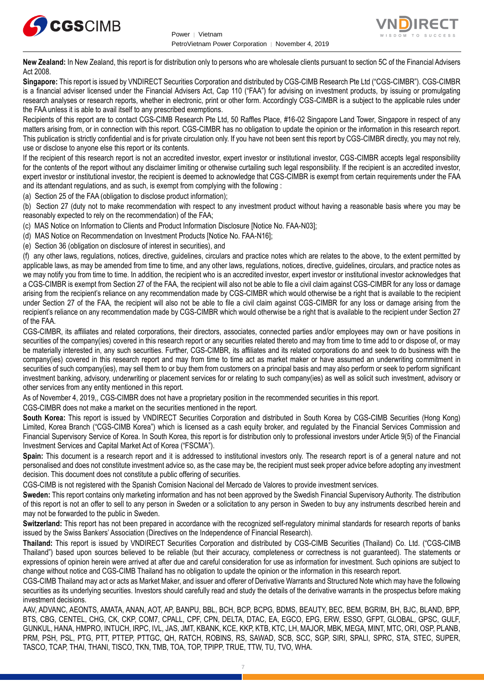



**New Zealand:** In New Zealand, this report is for distribution only to persons who are wholesale clients pursuant to section 5C of the Financial Advisers Act 2008.

**Singapore:** This report is issued by VNDIRECT Securities Corporation and distributed by CGS-CIMB Research Pte Ltd ("CGS-CIMBR"). CGS-CIMBR is a financial adviser licensed under the Financial Advisers Act, Cap 110 ("FAA") for advising on investment products, by issuing or promulgating research analyses or research reports, whether in electronic, print or other form. Accordingly CGS-CIMBR is a subject to the applicable rules under the FAA unless it is able to avail itself to any prescribed exemptions.

Recipients of this report are to contact CGS-CIMB Research Pte Ltd, 50 Raffles Place, #16-02 Singapore Land Tower, Singapore in respect of any matters arising from, or in connection with this report. CGS-CIMBR has no obligation to update the opinion or the information in this research report. This publication is strictly confidential and is for private circulation only. If you have not been sent this report by CGS-CIMBR directly, you may not rely, use or disclose to anyone else this report or its contents.

If the recipient of this research report is not an accredited investor, expert investor or institutional investor, CGS-CIMBR accepts legal responsibility for the contents of the report without any disclaimer limiting or otherwise curtailing such legal responsibility. If the recipient is an accredited investor, expert investor or institutional investor, the recipient is deemed to acknowledge that CGS-CIMBR is exempt from certain requirements under the FAA and its attendant regulations, and as such, is exempt from complying with the following :

(a) Section 25 of the FAA (obligation to disclose product information);

(b) Section 27 (duty not to make recommendation with respect to any investment product without having a reasonable basis where you may be reasonably expected to rely on the recommendation) of the FAA;

(c) MAS Notice on Information to Clients and Product Information Disclosure [Notice No. FAA-N03];

(d) MAS Notice on Recommendation on Investment Products [Notice No. FAA-N16];

(e) Section 36 (obligation on disclosure of interest in securities), and

(f) any other laws, regulations, notices, directive, guidelines, circulars and practice notes which are relates to the above, to the extent permitted by applicable laws, as may be amended from time to time, and any other laws, regulations, notices, directive, guidelines, circulars, and practice notes as we may notify you from time to time. In addition, the recipient who is an accredited investor, expert investor or institutional investor acknowledges that a CGS-CIMBR is exempt from Section 27 of the FAA, the recipient will also not be able to file a civil claim against CGS-CIMBR for any loss or damage arising from the recipient's reliance on any recommendation made by CGS-CIMBR which would otherwise be a right that is available to the recipient under Section 27 of the FAA, the recipient will also not be able to file a civil claim against CGS-CIMBR for any loss or damage arising from the recipient's reliance on any recommendation made by CGS-CIMBR which would otherwise be a right that is available to the recipient under Section 27 of the FAA.

CGS-CIMBR, its affiliates and related corporations, their directors, associates, connected parties and/or employees may own or have positions in securities of the company(ies) covered in this research report or any securities related thereto and may from time to time add to or dispose of, or may be materially interested in, any such securities. Further, CGS-CIMBR, its affiliates and its related corporations do and seek to do business with the company(ies) covered in this research report and may from time to time act as market maker or have assumed an underwriting commitment in securities of such company(ies), may sell them to or buy them from customers on a principal basis and may also perform or seek to perform significant investment banking, advisory, underwriting or placement services for or relating to such company(ies) as well as solicit such investment, advisory or other services from any entity mentioned in this report.

As of November 4, 2019,, CGS-CIMBR does not have a proprietary position in the recommended securities in this report.

CGS-CIMBR does not make a market on the securities mentioned in the report.

**South Korea:** This report is issued by VNDIRECT Securities Corporation and distributed in South Korea by CGS-CIMB Securities (Hong Kong) Limited, Korea Branch ("CGS-CIMB Korea") which is licensed as a cash equity broker, and regulated by the Financial Services Commission and Financial Supervisory Service of Korea. In South Korea, this report is for distribution only to professional investors under Article 9(5) of the Financial Investment Services and Capital Market Act of Korea ("FSCMA").

**Spain:** This document is a research report and it is addressed to institutional investors only. The research report is of a general nature and not personalised and does not constitute investment advice so, as the case may be, the recipient must seek proper advice before adopting any investment decision. This document does not constitute a public offering of securities.

CGS-CIMB is not registered with the Spanish Comision Nacional del Mercado de Valores to provide investment services.

**Sweden:** This report contains only marketing information and has not been approved by the Swedish Financial Supervisory Authority. The distribution of this report is not an offer to sell to any person in Sweden or a solicitation to any person in Sweden to buy any instruments described herein and may not be forwarded to the public in Sweden.

**Switzerland:** This report has not been prepared in accordance with the recognized self-regulatory minimal standards for research reports of banks issued by the Swiss Bankers' Association (Directives on the Independence of Financial Research).

**Thailand:** This report is issued by VNDIRECT Securities Corporation and distributed by CGS-CIMB Securities (Thailand) Co. Ltd. ("CGS-CIMB Thailand") based upon sources believed to be reliable (but their accuracy, completeness or correctness is not guaranteed). The statements or expressions of opinion herein were arrived at after due and careful consideration for use as information for investment. Such opinions are subject to change without notice and CGS-CIMB Thailand has no obligation to update the opinion or the information in this research report.

CGS-CIMB Thailand may act or acts as Market Maker, and issuer and offerer of Derivative Warrants and Structured Note which may have the following securities as its underlying securities. Investors should carefully read and study the details of the derivative warrants in the prospectus before making investment decisions.

AAV, ADVANC, AEONTS, AMATA, ANAN, AOT, AP, BANPU, BBL, BCH, BCP, BCPG, BDMS, BEAUTY, BEC, BEM, BGRIM, BH, BJC, BLAND, BPP, BTS, CBG, CENTEL, CHG, CK, CKP, COM7, CPALL, CPF, CPN, DELTA, DTAC, EA, EGCO, EPG, ERW, ESSO, GFPT, GLOBAL, GPSC, GULF, GUNKUL, HANA, HMPRO, INTUCH, IRPC, IVL, JAS, JMT, KBANK, KCE, KKP, KTB, KTC, LH, MAJOR, MBK, MEGA, MINT, MTC, ORI, OSP, PLANB, PRM, PSH, PSL, PTG, PTT, PTTEP, PTTGC, QH, RATCH, ROBINS, RS, SAWAD, SCB, SCC, SGP, SIRI, SPALI, SPRC, STA, STEC, SUPER, TASCO, TCAP, THAI, THANI, TISCO, TKN, TMB, TOA, TOP, TPIPP, TRUE, TTW, TU, TVO, WHA.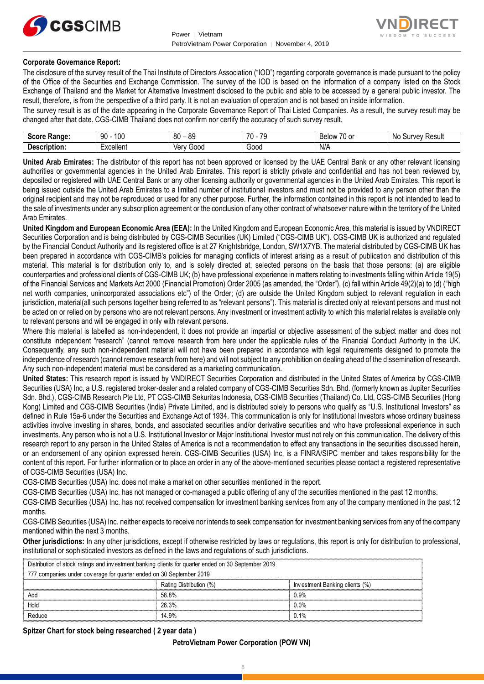



#### **Corporate Governance Report:**

The disclosure of the survey result of the Thai Institute of Directors Association ("IOD") regarding corporate governance is made pursuant to the policy of the Office of the Securities and Exchange Commission. The survey of the IOD is based on the information of a company listed on the Stock Exchange of Thailand and the Market for Alternative Investment disclosed to the public and able to be accessed by a general public investor. The result, therefore, is from the perspective of a third party. It is not an evaluation of operation and is not based on inside information.

The survey result is as of the date appearing in the Corporate Governance Report of Thai Listed Companies. As a result, the survey result may be changed after that date. CGS-CIMB Thailand does not confirm nor certify the accuracy of such survey result.

| <b>Score</b><br>Range: | 100<br>90<br>טע | RΛ<br>or<br>೦೮<br>υv | 70<br>$\overline{\phantom{a}}$<br>- 11<br>ີ | $\overline{\phantom{a}}$<br>-<br><b>Below</b><br>$\sim$<br>י טי | N0<br>Result<br><b>Jurvey</b> |
|------------------------|-----------------|----------------------|---------------------------------------------|-----------------------------------------------------------------|-------------------------------|
| -                      | -               | 000خ                 | -                                           | N/A                                                             |                               |
| Description:           | Excellent       | Verv                 | Good                                        |                                                                 |                               |

**United Arab Emirates:** The distributor of this report has not been approved or licensed by the UAE Central Bank or any other relevant licensing authorities or governmental agencies in the United Arab Emirates. This report is strictly private and confidential and has not been reviewed by, deposited or registered with UAE Central Bank or any other licensing authority or governmental agencies in the United Arab Emirates. This report is being issued outside the United Arab Emirates to a limited number of institutional investors and must not be provided to any person other than the original recipient and may not be reproduced or used for any other purpose. Further, the information contained in this report is not intended to lead to the sale of investments under any subscription agreement or the conclusion of any other contract of whatsoever nature within the territory of the United Arab Emirates.

**United Kingdom and European Economic Area (EEA):** In the United Kingdom and European Economic Area, this material is issued by VNDIRECT Securities Corporation and is being distributed by CGS-CIMB Securities (UK) Limited ("CGS-CIMB UK"). CGS-CIMB UK is authorized and regulated by the Financial Conduct Authority and its registered office is at 27 Knightsbridge, London, SW1X7YB. The material distributed by CGS-CIMB UK has been prepared in accordance with CGS-CIMB's policies for managing conflicts of interest arising as a result of publication and distribution of this material. This material is for distribution only to, and is solely directed at, selected persons on the basis that those persons: (a) are eligible counterparties and professional clients of CGS-CIMB UK; (b) have professional experience in matters relating to investments falling within Article 19(5) of the Financial Services and Markets Act 2000 (Financial Promotion) Order 2005 (as amended, the "Order"), (c) fall within Article 49(2)(a) to (d) ("high net worth companies, unincorporated associations etc") of the Order; (d) are outside the United Kingdom subject to relevant regulation in each jurisdiction, material(all such persons together being referred to as "relevant persons"). This material is directed only at relevant persons and must not be acted on or relied on by persons who are not relevant persons. Any investment or investment activity to which this material relates is available only to relevant persons and will be engaged in only with relevant persons.

Where this material is labelled as non-independent, it does not provide an impartial or objective assessment of the subject matter and does not constitute independent "research" (cannot remove research from here under the applicable rules of the Financial Conduct Authority in the UK. Consequently, any such non-independent material will not have been prepared in accordance with legal requirements designed to promote the independence of research (cannot remove research from here) and will not subject to any prohibition on dealing ahead of the dissemination of research. Any such non-independent material must be considered as a marketing communication.

**United States:** This research report is issued by VNDIRECT Securities Corporation and distributed in the United States of America by CGS-CIMB Securities (USA) Inc, a U.S. registered broker-dealer and a related company of CGS-CIMB Securities Sdn. Bhd. (formerly known as Jupiter Securities Sdn. Bhd.), CGS-CIMB Research Pte Ltd, PT CGS-CIMB Sekuritas Indonesia, CGS-CIMB Securities (Thailand) Co. Ltd, CGS-CIMB Securities (Hong Kong) Limited and CGS-CIMB Securities (India) Private Limited, and is distributed solely to persons who qualify as "U.S. Institutional Investors" as defined in Rule 15a-6 under the Securities and Exchange Act of 1934. This communication is only for Institutional Investors whose ordinary business activities involve investing in shares, bonds, and associated securities and/or derivative securities and who have professional experience in such investments. Any person who is not a U.S. Institutional Investor or Major Institutional Investor must not rely on this communication. The delivery of this research report to any person in the United States of America is not a recommendation to effect any transactions in the securities discussed herein, or an endorsement of any opinion expressed herein. CGS-CIMB Securities (USA) Inc, is a FINRA/SIPC member and takes responsibility for the content of this report. For further information or to place an order in any of the above-mentioned securities please contact a registered representative of CGS-CIMB Securities (USA) Inc.

CGS-CIMB Securities (USA) Inc. does not make a market on other securities mentioned in the report.

CGS-CIMB Securities (USA) Inc. has not managed or co-managed a public offering of any of the securities mentioned in the past 12 months.

CGS-CIMB Securities (USA) Inc. has not received compensation for investment banking services from any of the company mentioned in the past 12 months.

CGS-CIMB Securities (USA) Inc. neither expects to receive nor intends to seek compensation for investment banking services from any of the company mentioned within the next 3 months.

**Other jurisdictions:** In any other jurisdictions, except if otherwise restricted by laws or regulations, this report is only for distribution to professional, institutional or sophisticated investors as defined in the laws and regulations of such jurisdictions. entioned within the next 3 months.<br> **ther jurisdictions:** In any other jurisdictions, except if otherwise restricted by laws antitutional or sophisticated investors as defined in the laws and regulations of such ju<br>
Distri

| <b>Other jurisdictions:</b> In any other jurisdictions, except if otherwise restricted by laws or regulations, this report is only for distribution to<br>institutional or sophisticated investors as defined in the laws and regulations of such jurisdictions. |                         |                                |  |  |  |  |  |
|------------------------------------------------------------------------------------------------------------------------------------------------------------------------------------------------------------------------------------------------------------------|-------------------------|--------------------------------|--|--|--|--|--|
| Distribution of stock ratings and investment banking clients for quarter ended on 30 September 2019                                                                                                                                                              |                         |                                |  |  |  |  |  |
| 777 companies under coverage for quarter ended on 30 September 2019                                                                                                                                                                                              |                         |                                |  |  |  |  |  |
|                                                                                                                                                                                                                                                                  | Rating Distribution (%) | Investment Banking clients (%) |  |  |  |  |  |
| Add                                                                                                                                                                                                                                                              | 58.8%                   | 0.9%                           |  |  |  |  |  |
| 26.3%<br>Hold<br>0.0%                                                                                                                                                                                                                                            |                         |                                |  |  |  |  |  |
| Reduce                                                                                                                                                                                                                                                           | 14.9%                   | በ 1%                           |  |  |  |  |  |

#### **Spitzer Chart for stock being researched ( 2 year data )**

#### **PetroVietnam Power Corporation (POW VN)**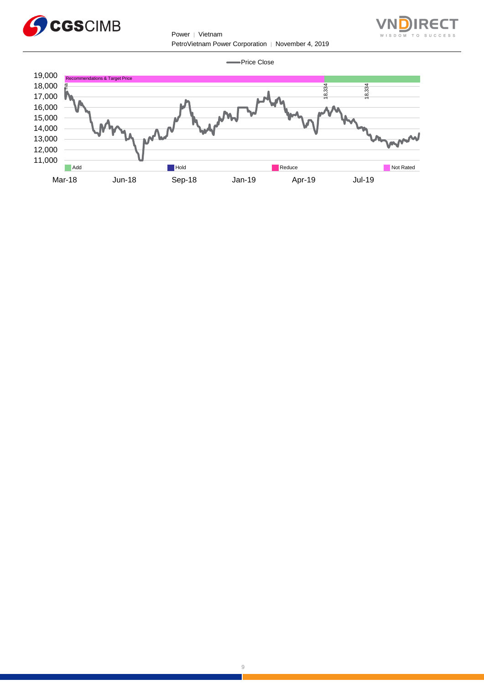

Power │ Vietnam PetroVietnam Power Corporation │ November 4, 2019



Price Close  $\overline{\phantom{a}}$ 

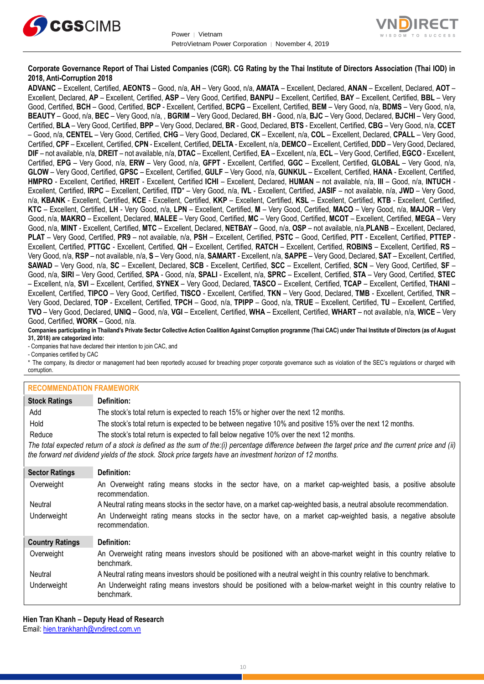



#### **Corporate Governance Report of Thai Listed Companies (CGR). CG Rating by the Thai Institute of Directors Association (Thai IOD) in 2018, Anti-Corruption 2018**

**ADVANC** – Excellent, Certified, **AEONTS** – Good, n/a, **AH** – Very Good, n/a, **AMATA** – Excellent, Declared, **ANAN** – Excellent, Declared, **AOT** – Excellent, Declared, **AP** – Excellent, Certified, **ASP** – Very Good, Certified, **BANPU** – Excellent, Certified, **BAY** – Excellent, Certified, **BBL** – Very Good, Certified, **BCH** – Good, Certified, **BCP** - Excellent, Certified, **BCPG** – Excellent, Certified, **BEM** – Very Good, n/a, **BDMS** – Very Good, n/a, **BEAUTY** – Good, n/a, **BEC** – Very Good, n/a, , **BGRIM** – Very Good, Declared, **BH** - Good, n/a, **BJC** – Very Good, Declared, **BJCHI** – Very Good, Certified, **BLA** – Very Good, Certified, **BPP** – Very Good, Declared, **BR** - Good, Declared, **BTS** - Excellent, Certified, **CBG** – Very Good, n/a, **CCET** – Good, n/a, **CENTEL** – Very Good, Certified, **CHG** – Very Good, Declared, **CK** – Excellent, n/a, **COL** – Excellent, Declared, **CPALL** – Very Good, Certified, **CPF** – Excellent, Certified, **CPN** - Excellent, Certified, **DELTA** - Excellent, n/a, **DEMCO** – Excellent, Certified, **DDD** – Very Good, Declared, **DIF** – not available, n/a, **DREIT** – not available, n/a, **DTAC** – Excellent, Certified, **EA** – Excellent, n/a, **ECL** – Very Good, Certified, **EGCO** - Excellent, Certified, **EPG** – Very Good, n/a, **ERW** – Very Good, n/a, **GFPT** - Excellent, Certified, **GGC** – Excellent, Certified, **GLOBAL** – Very Good, n/a, **GLOW** – Very Good, Certified, **GPSC** – Excellent, Certified, **GULF** – Very Good, n/a, **GUNKUL** – Excellent, Certified, **HANA** - Excellent, Certified, **HMPRO** - Excellent, Certified, **HREIT** - Excellent, Certified **ICHI** – Excellent, Declared, **HUMAN** – not available, n/a, **III** – Good, n/a, **INTUCH** - Excellent, Certified, **IRPC** – Excellent, Certified, **ITD**\* – Very Good, n/a, **IVL** - Excellent, Certified, **JASIF** – not available, n/a, **JWD** – Very Good, n/a, **KBANK** - Excellent, Certified, **KCE** - Excellent, Certified, **KKP** – Excellent, Certified, **KSL** – Excellent, Certified, **KTB** - Excellent, Certified, **KTC** – Excellent, Certified, **LH** - Very Good, n/a, **LPN** – Excellent, Certified, **M** – Very Good, Certified, **MACO** – Very Good, n/a, **MAJOR** – Very Good, n/a, **MAKRO** – Excellent, Declared, **MALEE** – Very Good, Certified, **MC** – Very Good, Certified, **MCOT** – Excellent, Certified, **MEGA** – Very Good, n/a, **MINT** - Excellent, Certified, **MTC** – Excellent, Declared, **NETBAY** – Good, n/a, **OSP** – not available, n/a,**PLANB** – Excellent, Declared, **PLAT** – Very Good, Certified, **PR9** – not available, n/a, **PSH** – Excellent, Certified, **PSTC** – Good, Certified, **PTT** - Excellent, Certified, **PTTEP** - Excellent, Certified, **PTTGC** - Excellent, Certified, **QH** – Excellent, Certified, **RATCH** – Excellent, Certified, **ROBINS** – Excellent, Certified, **RS** – Very Good, n/a, **RSP** – not available, n/a, **S** – Very Good, n/a, **SAMART** - Excellent, n/a, **SAPPE** – Very Good, Declared, **SAT** – Excellent, Certified, **SAWAD** – Very Good, n/a, **SC** – Excellent, Declared, **SCB** - Excellent, Certified, **SCC** – Excellent, Certified, **SCN** – Very Good, Certified, **SF** – Good, n/a, **SIRI** – Very Good, Certified, **SPA** - Good, n/a, **SPALI** - Excellent, n/a, **SPRC** – Excellent, Certified, **STA** – Very Good, Certified, **STEC** – Excellent, n/a, **SVI** – Excellent, Certified, **SYNEX** – Very Good, Declared, **TASCO** – Excellent, Certified, **TCAP** – Excellent, Certified, **THANI** – Excellent, Certified, **TIPCO** – Very Good, Certified, **TISCO** - Excellent, Certified, **TKN** – Very Good, Declared, **TMB** - Excellent, Certified, **TNR** – Very Good, Declared, **TOP** - Excellent, Certified, **TPCH** – Good, n/a, **TPIPP** – Good, n/a, **TRUE** – Excellent, Certified, **TU** – Excellent, Certified, **TVO** – Very Good, Declared, **UNIQ** – Good, n/a, **VGI** – Excellent, Certified, **WHA** – Excellent, Certified, **WHART** – not available, n/a, **WICE** – Very Good, Certified, **WORK** – Good, n/a.

**Companies participating in Thailand's Private Sector Collective Action Coalition Against Corruption programme (Thai CAC) under Thai Institute of Directors (as of August 31, 2018) are categorized into:**

- Companies that have declared their intention to join CAC, and

- Companies certified by CAC

\* The company, its director or management had been reportedly accused for breaching proper corporate governance such as violation of the SEC's regulations or charged with corruption.

#### **RECOMMENDATION FRAMEWORK**

| <b>Stock Ratings</b>                                                                                                                                                                                                                                              | Definition:                                                                                                                     |
|-------------------------------------------------------------------------------------------------------------------------------------------------------------------------------------------------------------------------------------------------------------------|---------------------------------------------------------------------------------------------------------------------------------|
| Add                                                                                                                                                                                                                                                               | The stock's total return is expected to reach 15% or higher over the next 12 months.                                            |
| Hold                                                                                                                                                                                                                                                              | The stock's total return is expected to be between negative 10% and positive 15% over the next 12 months.                       |
| Reduce                                                                                                                                                                                                                                                            | The stock's total return is expected to fall below negative 10% over the next 12 months.                                        |
| The total expected return of a stock is defined as the sum of the:(i) percentage difference between the target price and the current price and (ii)<br>the forward net dividend yields of the stock. Stock price targets have an investment horizon of 12 months. |                                                                                                                                 |
| <b>Sector Ratings</b>                                                                                                                                                                                                                                             | Definition:                                                                                                                     |
| Overweight                                                                                                                                                                                                                                                        | An Overweight rating means stocks in the sector have, on a market cap-weighted basis, a positive absolute<br>recommendation.    |
| Neutral                                                                                                                                                                                                                                                           | A Neutral rating means stocks in the sector have, on a market cap-weighted basis, a neutral absolute recommendation.            |
| Underweight                                                                                                                                                                                                                                                       | An Underweight rating means stocks in the sector have, on a market cap-weighted basis, a negative absolute<br>recommendation.   |
| <b>Country Ratings</b>                                                                                                                                                                                                                                            | Definition:                                                                                                                     |
| Overweight                                                                                                                                                                                                                                                        | An Overweight rating means investors should be positioned with an above-market weight in this country relative to<br>benchmark. |
| Neutral                                                                                                                                                                                                                                                           | A Neutral rating means investors should be positioned with a neutral weight in this country relative to benchmark.              |
| Underweight                                                                                                                                                                                                                                                       | An Underweight rating means investors should be positioned with a below-market weight in this country relative to<br>benchmark. |

**Hien Tran Khanh – Deputy Head of Research** Email: [hien.trankhanh@vndirect.com.vn](mailto:hien.trankhanh@vndirect.com.vn)